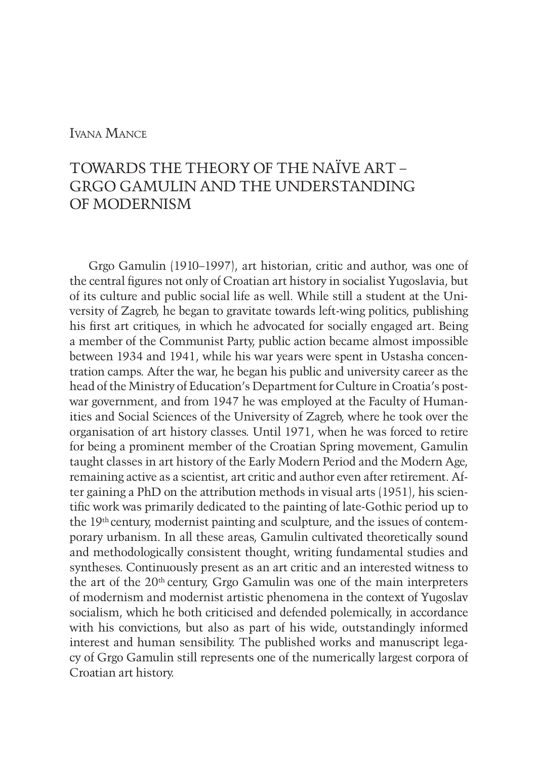## Ivana Mance

# TOWARDS THE THEORY OF THE NAÏVE ART – GRGO GAMULIN AND THE UNDERSTANDING OF MODERNISM

Grgo Gamulin (1910–1997), art historian, critic and author, was one of the central figures not only of Croatian art history in socialist Yugoslavia, but of its culture and public social life as well. While still a student at the University of Zagreb, he began to gravitate towards left-wing politics, publishing his first art critiques, in which he advocated for socially engaged art. Being a member of the Communist Party, public action became almost impossible between 1934 and 1941, while his war years were spent in Ustasha concentration camps. After the war, he began his public and university career as the head of the Ministry of Education's Department for Culture in Croatia's postwar government, and from 1947 he was employed at the Faculty of Humanities and Social Sciences of the University of Zagreb, where he took over the organisation of art history classes. Until 1971, when he was forced to retire for being a prominent member of the Croatian Spring movement, Gamulin taught classes in art history of the Early Modern Period and the Modern Age, remaining active as a scientist, art critic and author even after retirement. After gaining a PhD on the attribution methods in visual arts (1951), his scientific work was primarily dedicated to the painting of late-Gothic period up to the 19th century, modernist painting and sculpture, and the issues of contemporary urbanism. In all these areas, Gamulin cultivated theoretically sound and methodologically consistent thought, writing fundamental studies and syntheses. Continuously present as an art critic and an interested witness to the art of the 20th century, Grgo Gamulin was one of the main interpreters of modernism and modernist artistic phenomena in the context of Yugoslav socialism, which he both criticised and defended polemically, in accordance with his convictions, but also as part of his wide, outstandingly informed interest and human sensibility. The published works and manuscript legacy of Grgo Gamulin still represents one of the numerically largest corpora of Croatian art history.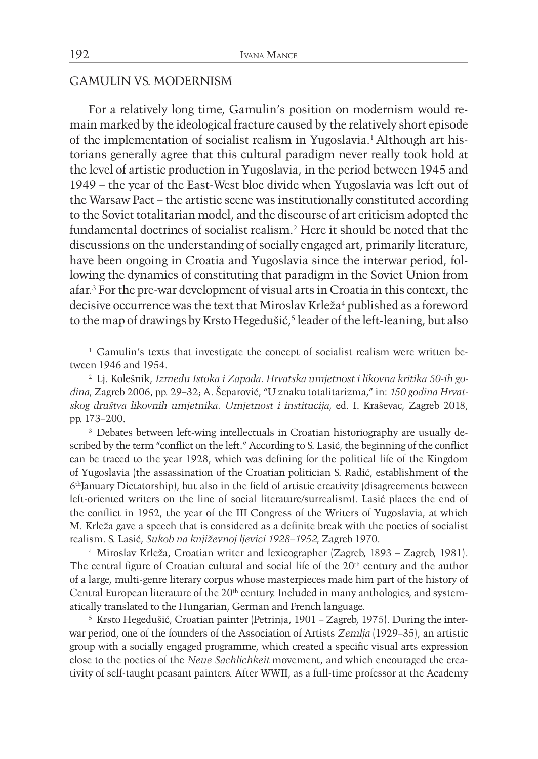#### GAMULIN VS. MODERNISM

For a relatively long time, Gamulin's position on modernism would remain marked by the ideological fracture caused by the relatively short episode of the implementation of socialist realism in Yugoslavia.1 Although art historians generally agree that this cultural paradigm never really took hold at the level of artistic production in Yugoslavia, in the period between 1945 and 1949 – the year of the East-West bloc divide when Yugoslavia was left out of the Warsaw Pact – the artistic scene was institutionally constituted according to the Soviet totalitarian model, and the discourse of art criticism adopted the fundamental doctrines of socialist realism.2 Here it should be noted that the discussions on the understanding of socially engaged art, primarily literature, have been ongoing in Croatia and Yugoslavia since the interwar period, following the dynamics of constituting that paradigm in the Soviet Union from afar.3 For the pre-war development of visual arts in Croatia in this context, the decisive occurrence was the text that Miroslav Krleža<sup>4</sup> published as a foreword to the map of drawings by Krsto Hegedušić,<sup>5</sup> leader of the left-leaning, but also

<sup>3</sup> Debates between left-wing intellectuals in Croatian historiography are usually described by the term "conflict on the left." According to S. Lasić, the beginning of the conflict can be traced to the year 1928, which was defining for the political life of the Kingdom of Yugoslavia (the assassination of the Croatian politician S. Radić, establishment of the 6thJanuary Dictatorship), but also in the field of artistic creativity (disagreements between left-oriented writers on the line of social literature/surrealism). Lasić places the end of the conflict in 1952, the year of the III Congress of the Writers of Yugoslavia, at which M. Krleža gave a speech that is considered as a definite break with the poetics of socialist realism. S. Lasić, *Sukob na književnoj ljevici 1928–1952*, Zagreb 1970.

<sup>4</sup> Miroslav Krleža, Croatian writer and lexicographer (Zagreb, 1893 – Zagreb, 1981). The central figure of Croatian cultural and social life of the 20<sup>th</sup> century and the author of a large, multi-genre literary corpus whose masterpieces made him part of the history of Central European literature of the 20<sup>th</sup> century. Included in many anthologies, and systematically translated to the Hungarian, German and French language.

<sup>5</sup> Krsto Hegedušić, Croatian painter (Petrinja, 1901 – Zagreb, 1975). During the interwar period, one of the founders of the Association of Artists *Zemlja* (1929–35), an artistic group with a socially engaged programme, which created a specific visual arts expression close to the poetics of the *Neue Sachlichkeit* movement, and which encouraged the creativity of self-taught peasant painters. After WWII, as a full-time professor at the Academy

<sup>1</sup> Gamulin's texts that investigate the concept of socialist realism were written between 1946 and 1954.

<sup>2</sup> Lj. Kolešnik, *Između Istoka i Zapada. Hrvatska umjetnost i likovna kritika 50-ih godina*, Zagreb 2006, pp. 29–32; A. Šeparović, "U znaku totalitarizma," in: *150 godina Hrvatskog društva likovnih umjetnika. Umjetnost i institucija*, ed. I. Kraševac, Zagreb 2018, pp. 173–200.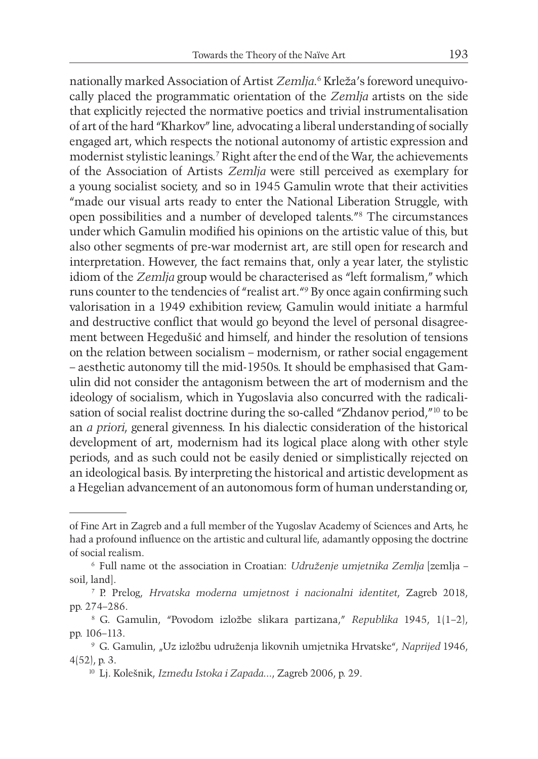nationally marked Association of Artist *Zemlja*. 6 Krleža's foreword unequivocally placed the programmatic orientation of the *Zemlja* artists on the side that explicitly rejected the normative poetics and trivial instrumentalisation of art of the hard "Kharkov" line, advocating a liberal understanding of socially engaged art, which respects the notional autonomy of artistic expression and modernist stylistic leanings.7 Right after the end of the War, the achievements of the Association of Artists *Zemlja* were still perceived as exemplary for a young socialist society, and so in 1945 Gamulin wrote that their activities "made our visual arts ready to enter the National Liberation Struggle, with open possibilities and a number of developed talents."8 The circumstances under which Gamulin modified his opinions on the artistic value of this, but also other segments of pre-war modernist art, are still open for research and interpretation. However, the fact remains that, only a year later, the stylistic idiom of the *Zemlja* group would be characterised as "left formalism," which runs counter to the tendencies of "realist art."9 By once again confirming such valorisation in a 1949 exhibition review, Gamulin would initiate a harmful and destructive conflict that would go beyond the level of personal disagreement between Hegedušić and himself, and hinder the resolution of tensions on the relation between socialism – modernism, or rather social engagement – aesthetic autonomy till the mid-1950s. It should be emphasised that Gamulin did not consider the antagonism between the art of modernism and the ideology of socialism, which in Yugoslavia also concurred with the radicalisation of social realist doctrine during the so-called "Zhdanov period,"10 to be an *a priori*, general givenness. In his dialectic consideration of the historical development of art, modernism had its logical place along with other style periods, and as such could not be easily denied or simplistically rejected on an ideological basis. By interpreting the historical and artistic development as a Hegelian advancement of an autonomous form of human understanding or,

of Fine Art in Zagreb and a full member of the Yugoslav Academy of Sciences and Arts, he had a profound influence on the artistic and cultural life, adamantly opposing the doctrine of social realism.

<sup>6</sup> Full name ot the association in Croatian: *Udruženje umjetnika Zemlja* [zemlja – soil, land].

<sup>7</sup> P. Prelog, *Hrvatska moderna umjetnost i nacionalni identitet*, Zagreb 2018, pp. 274–286.

<sup>8</sup> G. Gamulin, "Povodom izložbe slikara partizana," *Republika* 1945, 1(1–2), pp. 106–113.

<sup>9</sup> G. Gamulin, "Uz izložbu udruženja likovnih umjetnika Hrvatske", *Naprijed* 1946, 4(52), p. 3.

<sup>10</sup> Lj. Kolešnik, *Između Istoka i Zapada*..., Zagreb 2006, p. 29.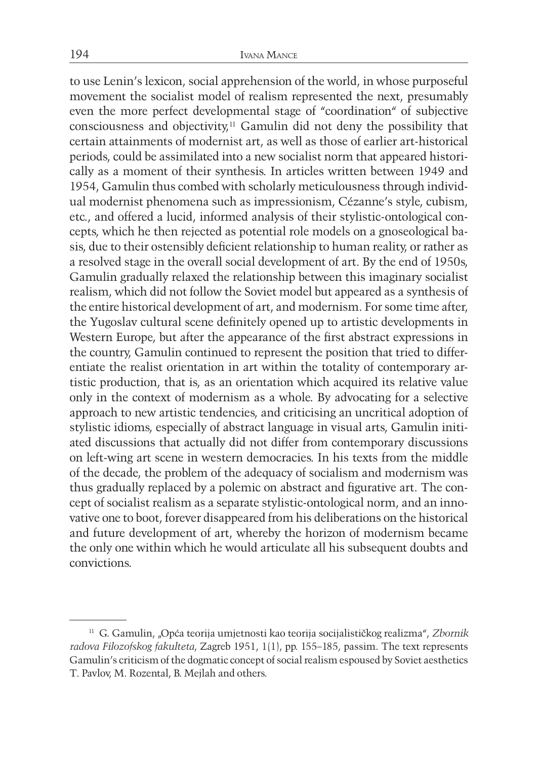to use Lenin's lexicon, social apprehension of the world, in whose purposeful movement the socialist model of realism represented the next, presumably even the more perfect developmental stage of "coordination" of subjective consciousness and objectivity, $11$  Gamulin did not deny the possibility that certain attainments of modernist art, as well as those of earlier art-historical periods, could be assimilated into a new socialist norm that appeared historically as a moment of their synthesis. In articles written between 1949 and 1954, Gamulin thus combed with scholarly meticulousness through individual modernist phenomena such as impressionism, Cézanne's style, cubism, etc., and offered a lucid, informed analysis of their stylistic-ontological concepts, which he then rejected as potential role models on a gnoseological basis, due to their ostensibly deficient relationship to human reality, or rather as a resolved stage in the overall social development of art. By the end of 1950s, Gamulin gradually relaxed the relationship between this imaginary socialist realism, which did not follow the Soviet model but appeared as a synthesis of the entire historical development of art, and modernism. For some time after, the Yugoslav cultural scene definitely opened up to artistic developments in Western Europe, but after the appearance of the first abstract expressions in the country, Gamulin continued to represent the position that tried to differentiate the realist orientation in art within the totality of contemporary artistic production, that is, as an orientation which acquired its relative value only in the context of modernism as a whole. By advocating for a selective approach to new artistic tendencies, and criticising an uncritical adoption of stylistic idioms, especially of abstract language in visual arts, Gamulin initiated discussions that actually did not differ from contemporary discussions on left-wing art scene in western democracies. In his texts from the middle of the decade, the problem of the adequacy of socialism and modernism was thus gradually replaced by a polemic on abstract and figurative art. The concept of socialist realism as a separate stylistic-ontological norm, and an innovative one to boot, forever disappeared from his deliberations on the historical and future development of art, whereby the horizon of modernism became the only one within which he would articulate all his subsequent doubts and convictions.

<sup>11</sup> G. Gamulin, "Opća teorija umjetnosti kao teorija socijalističkog realizma", *Zbornik radova Filozofskog fakulteta*, Zagreb 1951, 1(1), pp. 155–185, passim. The text represents Gamulin's criticism of the dogmatic concept of social realism espoused by Soviet aesthetics T. Pavlov, M. Rozental, B. Mejlah and others.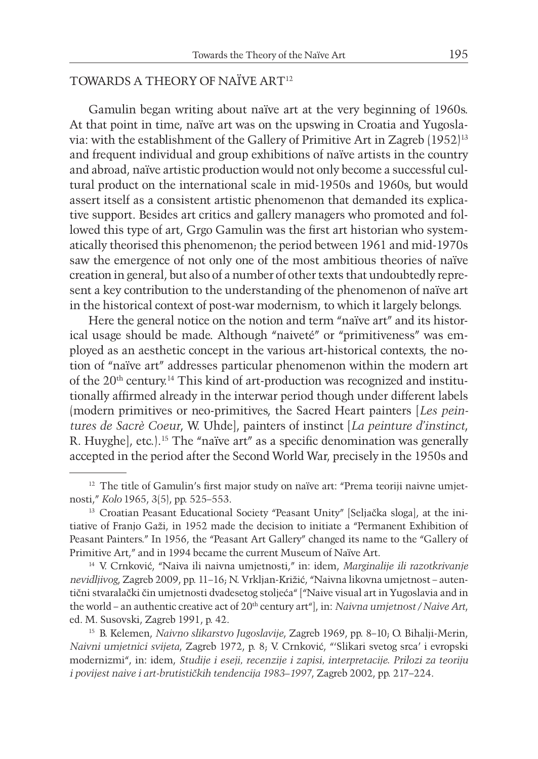## TOWARDS A THEORY OF NAÏVE ART12

Gamulin began writing about naïve art at the very beginning of 1960s. At that point in time, naïve art was on the upswing in Croatia and Yugoslavia: with the establishment of the Gallery of Primitive Art in Zagreb (1952)13 and frequent individual and group exhibitions of naïve artists in the country and abroad, naïve artistic production would not only become a successful cultural product on the international scale in mid-1950s and 1960s, but would assert itself as a consistent artistic phenomenon that demanded its explicative support. Besides art critics and gallery managers who promoted and followed this type of art, Grgo Gamulin was the first art historian who systematically theorised this phenomenon; the period between 1961 and mid-1970s saw the emergence of not only one of the most ambitious theories of naïve creation in general, but also of a number of other texts that undoubtedly represent a key contribution to the understanding of the phenomenon of naïve art in the historical context of post-war modernism, to which it largely belongs.

Here the general notice on the notion and term "naïve art" and its historical usage should be made. Although "naiveté" or "primitiveness" was employed as an aesthetic concept in the various art-historical contexts, the notion of "naïve art" addresses particular phenomenon within the modern art of the 20<sup>th</sup> century.<sup>14</sup> This kind of art-production was recognized and institutionally affirmed already in the interwar period though under different labels (modern primitives or neo-primitives, the Sacred Heart painters [*Les peintures de Sacrè Coeur*, W. Uhde], painters of instinct [*La peinture d'instinct*, R. Huyghe], etc.).15 The "naïve art" as a specific denomination was generally accepted in the period after the Second World War, precisely in the 1950s and

<sup>&</sup>lt;sup>12</sup> The title of Gamulin's first major study on naïve art: "Prema teoriji naivne umjetnosti," *Kolo* 1965, 3(5), pp. 525–553.

<sup>&</sup>lt;sup>13</sup> Croatian Peasant Educational Society "Peasant Unity" [Seljačka sloga], at the initiative of Franjo Gaži, in 1952 made the decision to initiate a "Permanent Exhibition of Peasant Painters." In 1956, the "Peasant Art Gallery" changed its name to the "Gallery of Primitive Art," and in 1994 became the current Museum of Naïve Art.

<sup>14</sup> V. Crnković, "Naiva ili naivna umjetnosti," in: idem, *Marginalije ili razotkrivanje nevidljivog*, Zagreb 2009, pp. 11–16; N. Vrkljan-Križić, "Naivna likovna umjetnost – autentični stvaralački čin umjetnosti dvadesetog stoljeća" ["Naive visual art in Yugoslavia and in the world – an authentic creative act of 20th century art"], in: *Naivna umjetnost / Naive Art*, ed. M. Susovski, Zagreb 1991, p. 42.

<sup>15</sup> B. Kelemen, *Naivno slikarstvo Jugoslavije*, Zagreb 1969, pp. 8–10; O. Bihalji-Merin, *Naivni umjetnici svijeta*, Zagreb 1972, p. 8; V. Crnković, "'Slikari svetog srca' i evropski modernizmi", in: idem, *Studije i eseji, recenzije i zapisi, interpretacije. Prilozi za teoriju i povijest naive i art-brutističkih tendencija 1983–1997*, Zagreb 2002, pp. 217–224.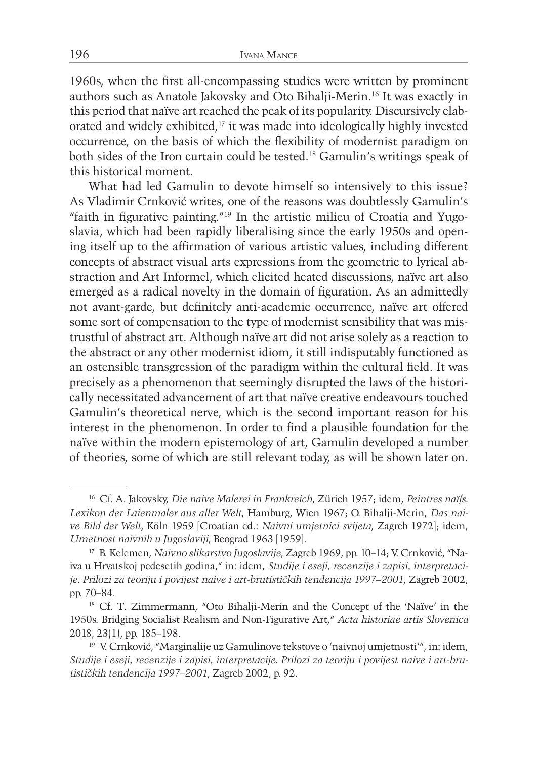1960s, when the first all-encompassing studies were written by prominent authors such as Anatole Jakovsky and Oto Bihalji-Merin.16 It was exactly in this period that naïve art reached the peak of its popularity. Discursively elaborated and widely exhibited,<sup>17</sup> it was made into ideologically highly invested occurrence, on the basis of which the flexibility of modernist paradigm on both sides of the Iron curtain could be tested.18 Gamulin's writings speak of this historical moment.

What had led Gamulin to devote himself so intensively to this issue? As Vladimir Crnković writes, one of the reasons was doubtlessly Gamulin's "faith in figurative painting."19 In the artistic milieu of Croatia and Yugoslavia, which had been rapidly liberalising since the early 1950s and opening itself up to the affirmation of various artistic values, including different concepts of abstract visual arts expressions from the geometric to lyrical abstraction and Art Informel, which elicited heated discussions, naïve art also emerged as a radical novelty in the domain of figuration. As an admittedly not avant-garde, but definitely anti-academic occurrence, naïve art offered some sort of compensation to the type of modernist sensibility that was mistrustful of abstract art. Although naïve art did not arise solely as a reaction to the abstract or any other modernist idiom, it still indisputably functioned as an ostensible transgression of the paradigm within the cultural field. It was precisely as a phenomenon that seemingly disrupted the laws of the historically necessitated advancement of art that naïve creative endeavours touched Gamulin's theoretical nerve, which is the second important reason for his interest in the phenomenon. In order to find a plausible foundation for the naïve within the modern epistemology of art, Gamulin developed a number of theories, some of which are still relevant today, as will be shown later on.

<sup>16</sup> Cf. A. Jakovsky, *Die naive Malerei in Frankreich*, Zürich 1957; idem, *Peintres naïfs. Lexikon der Laienmaler aus aller Welt*, Hamburg, Wien 1967; O. Bihalji-Merin, *Das naive Bild der Welt*, Köln 1959 [Croatian ed.: *Naivni umjetnici svijeta*, Zagreb 1972]; idem, *Umetnost naivnih u Jugoslaviji*, Beograd 1963 [1959].

<sup>17</sup> B. Kelemen, *Naivno slikarstvo Jugoslavije*, Zagreb 1969, pp. 10–14; V. Crnković, "Naiva u Hrvatskoj pedesetih godina," in: idem, *Studije i eseji, recenzije i zapisi, interpretacije. Prilozi za teoriju i povijest naive i art-brutističkih tendencija 1997–2001*, Zagreb 2002, pp. 70–84.

<sup>18</sup> Cf. T. Zimmermann, "Oto Bihalji-Merin and the Concept of the 'Naïve' in the 1950s. Bridging Socialist Realism and Non-Figurative Art," *Acta historiae artis Slovenica* 2018, 23(1), pp. 185–198.

<sup>&</sup>lt;sup>19</sup> V. Crnković, "Marginalije uz Gamulinove tekstove o 'naivnoj umjetnosti'", in: idem, *Studije i eseji, recenzije i zapisi, interpretacije. Prilozi za teoriju i povijest naive i art-brutističkih tendencija 1997–2001*, Zagreb 2002, p. 92.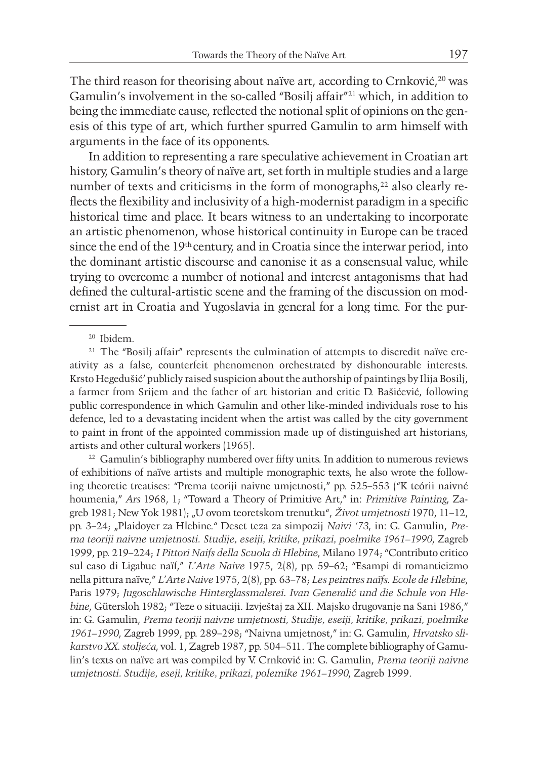The third reason for theorising about naïve art, according to Crnković,<sup>20</sup> was Gamulin's involvement in the so-called "Bosilj affair"21 which, in addition to being the immediate cause, reflected the notional split of opinions on the genesis of this type of art, which further spurred Gamulin to arm himself with arguments in the face of its opponents.

In addition to representing a rare speculative achievement in Croatian art history, Gamulin's theory of naïve art, set forth in multiple studies and a large number of texts and criticisms in the form of monographs,<sup>22</sup> also clearly reflects the flexibility and inclusivity of a high-modernist paradigm in a specific historical time and place. It bears witness to an undertaking to incorporate an artistic phenomenon, whose historical continuity in Europe can be traced since the end of the 19th century, and in Croatia since the interwar period, into the dominant artistic discourse and canonise it as a consensual value, while trying to overcome a number of notional and interest antagonisms that had defined the cultural-artistic scene and the framing of the discussion on modernist art in Croatia and Yugoslavia in general for a long time. For the pur-

<sup>21</sup> The "Bosilj affair" represents the culmination of attempts to discredit naïve creativity as a false, counterfeit phenomenon orchestrated by dishonourable interests. Krsto Hegedušić' publicly raised suspicion about the authorship of paintings by Ilija Bosilj, a farmer from Srijem and the father of art historian and critic D. Bašićević, following public correspondence in which Gamulin and other like-minded individuals rose to his defence, led to a devastating incident when the artist was called by the city government to paint in front of the appointed commission made up of distinguished art historians, artists and other cultural workers (1965).

<sup>22</sup> Gamulin's bibliography numbered over fifty units. In addition to numerous reviews of exhibitions of naïve artists and multiple monographic texts, he also wrote the following theoretic treatises: "Prema teoriji naivne umjetnosti," pp. 525–553 ("K teórii naivné houmenia," *Ars* 1968, 1; "Toward a Theory of Primitive Art," in: *Primitive Painting*, Zagreb 1981; New Yok 1981); "U ovom teoretskom trenutku", *Život umjetnosti* 1970, 11–12, pp. 3–24; "Plaidoyer za Hlebine." Deset teza za simpozij *Naivi '73*, in: G. Gamulin, *Prema teoriji naivne umjetnosti. Studije, eseiji, kritike, prikazi, poelmike 1961–1990*, Zagreb 1999, pp. 219–224; *I Pittori Naifs della Scuola di Hlebine*, Milano 1974; "Contributo critico sul caso di Ligabue naïf," *L'Arte Naive* 1975, 2(8), pp. 59–62; "Esampi di romanticizmo nella pittura naïve," *L'Arte Naive* 1975, 2(8), pp. 63–78; *Les peintres naïfs. Ecole de Hlebine*, Paris 1979; *Jugoschlawische Hinterglassmalerei. Ivan Generalić und die Schule von Hlebine*, Gütersloh 1982; "Teze o situaciji. Izvještaj za XII. Majsko drugovanje na Sani 1986," in: G. Gamulin, *Prema teoriji naivne umjetnosti, Studije, eseiji, kritike, prikazi, poelmike 1961–1990*, Zagreb 1999, pp. 289–298; "Naivna umjetnost," in: G. Gamulin, *Hrvatsko slikarstvo XX. stoljeća*, vol. 1, Zagreb 1987, pp. 504–511. The complete bibliography of Gamulin's texts on naïve art was compiled by V. Crnković in: G. Gamulin, *Prema teoriji naivne umjetnosti. Studije, eseji, kritike, prikazi, polemike 1961–1990*, Zagreb 1999.

<sup>20</sup> Ibidem.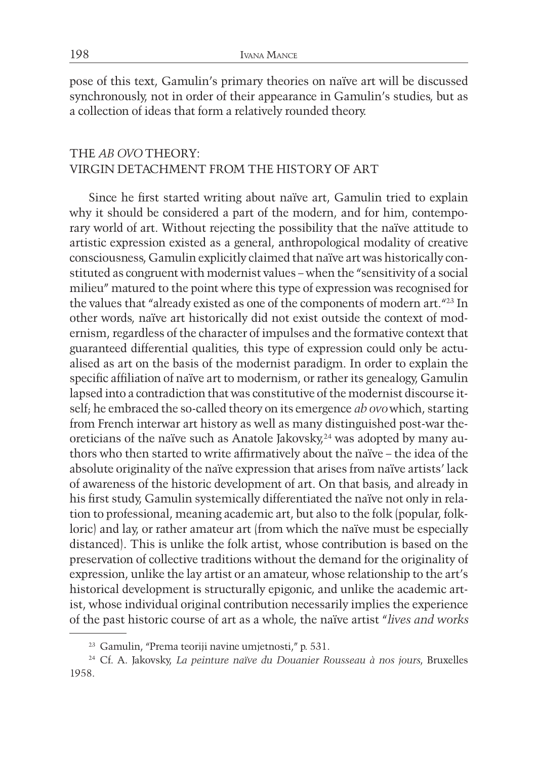pose of this text, Gamulin's primary theories on naïve art will be discussed synchronously, not in order of their appearance in Gamulin's studies, but as a collection of ideas that form a relatively rounded theory.

# THE *AB OVO* THEORY: VIRGIN DETACHMENT FROM THE HISTORY OF ART

Since he first started writing about naïve art, Gamulin tried to explain why it should be considered a part of the modern, and for him, contemporary world of art. Without rejecting the possibility that the naïve attitude to artistic expression existed as a general, anthropological modality of creative consciousness, Gamulin explicitly claimed that naïve art was historically constituted as congruent with modernist values – when the "sensitivity of a social milieu" matured to the point where this type of expression was recognised for the values that "already existed as one of the components of modern art."23 In other words, naïve art historically did not exist outside the context of modernism, regardless of the character of impulses and the formative context that guaranteed differential qualities, this type of expression could only be actualised as art on the basis of the modernist paradigm. In order to explain the specific affiliation of naïve art to modernism, or rather its genealogy, Gamulin lapsed into a contradiction that was constitutive of the modernist discourse itself; he embraced the so-called theory on its emergence *ab ovo* which, starting from French interwar art history as well as many distinguished post-war theoreticians of the naïve such as Anatole Jakovsky,<sup>24</sup> was adopted by many authors who then started to write affirmatively about the naïve – the idea of the absolute originality of the naïve expression that arises from naïve artists' lack of awareness of the historic development of art. On that basis, and already in his first study, Gamulin systemically differentiated the naïve not only in relation to professional, meaning academic art, but also to the folk (popular, folkloric) and lay, or rather amateur art (from which the naïve must be especially distanced). This is unlike the folk artist, whose contribution is based on the preservation of collective traditions without the demand for the originality of expression, unlike the lay artist or an amateur, whose relationship to the art's historical development is structurally epigonic, and unlike the academic artist, whose individual original contribution necessarily implies the experience of the past historic course of art as a whole, the naïve artist "*lives and works* 

<sup>23</sup> Gamulin, "Prema teoriji navine umjetnosti," p. 531.

<sup>24</sup> Cf. A. Jakovsky, *La peinture naïve du Douanier Rousseau à nos jours*, Bruxelles 1958.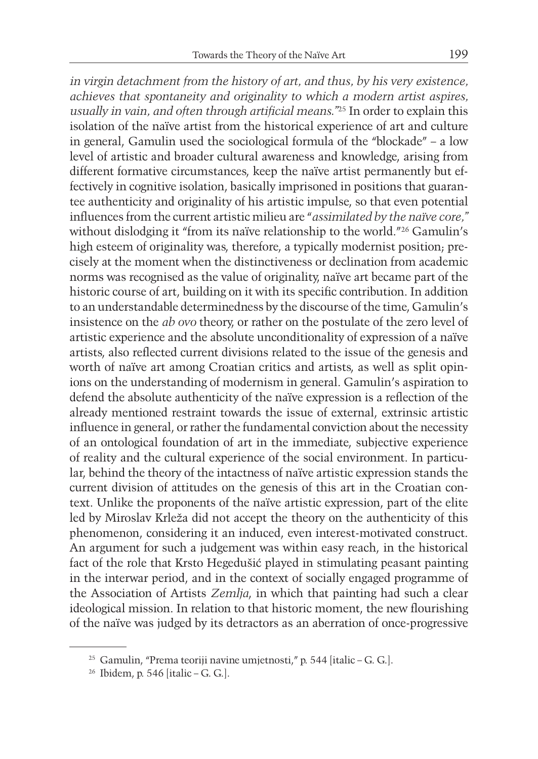*in virgin detachment from the history of art, and thus, by his very existence, achieves that spontaneity and originality to which a modern artist aspires, usually in vain, and often through artificial means."*25 In order to explain this isolation of the naïve artist from the historical experience of art and culture in general, Gamulin used the sociological formula of the "blockade" – a low level of artistic and broader cultural awareness and knowledge, arising from different formative circumstances, keep the naïve artist permanently but effectively in cognitive isolation, basically imprisoned in positions that guarantee authenticity and originality of his artistic impulse, so that even potential influences from the current artistic milieu are "*assimilated by the naïve core,"* without dislodging it "from its naïve relationship to the world."26 Gamulin's high esteem of originality was, therefore, a typically modernist position; precisely at the moment when the distinctiveness or declination from academic norms was recognised as the value of originality, naïve art became part of the historic course of art, building on it with its specific contribution. In addition to an understandable determinedness by the discourse of the time, Gamulin's insistence on the *ab ovo* theory, or rather on the postulate of the zero level of artistic experience and the absolute unconditionality of expression of a naïve artists, also reflected current divisions related to the issue of the genesis and worth of naïve art among Croatian critics and artists, as well as split opinions on the understanding of modernism in general. Gamulin's aspiration to defend the absolute authenticity of the naïve expression is a reflection of the already mentioned restraint towards the issue of external, extrinsic artistic influence in general, or rather the fundamental conviction about the necessity of an ontological foundation of art in the immediate, subjective experience of reality and the cultural experience of the social environment. In particular, behind the theory of the intactness of naïve artistic expression stands the current division of attitudes on the genesis of this art in the Croatian context. Unlike the proponents of the naïve artistic expression, part of the elite led by Miroslav Krleža did not accept the theory on the authenticity of this phenomenon, considering it an induced, even interest-motivated construct. An argument for such a judgement was within easy reach, in the historical fact of the role that Krsto Hegedušić played in stimulating peasant painting in the interwar period, and in the context of socially engaged programme of the Association of Artists *Zemlja*, in which that painting had such a clear ideological mission. In relation to that historic moment, the new flourishing of the naïve was judged by its detractors as an aberration of once-progressive

<sup>25</sup> Gamulin, "Prema teoriji navine umjetnosti," p. 544 [italic – G. G.].

<sup>26</sup> Ibidem, p. 546 [italic – G. G.].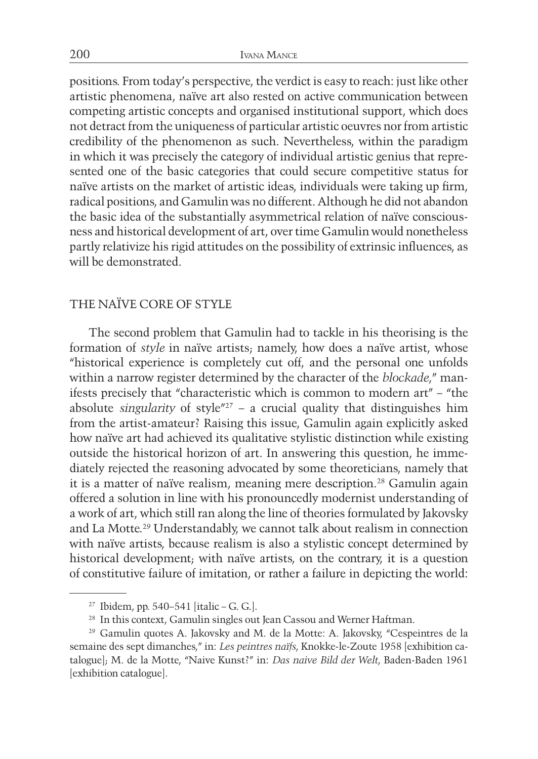positions. From today's perspective, the verdict is easy to reach: just like other artistic phenomena, naïve art also rested on active communication between competing artistic concepts and organised institutional support, which does not detract from the uniqueness of particular artistic oeuvres nor from artistic credibility of the phenomenon as such. Nevertheless, within the paradigm in which it was precisely the category of individual artistic genius that represented one of the basic categories that could secure competitive status for naïve artists on the market of artistic ideas, individuals were taking up firm, radical positions, and Gamulin was no different. Although he did not abandon the basic idea of the substantially asymmetrical relation of naïve consciousness and historical development of art, over time Gamulin would nonetheless partly relativize his rigid attitudes on the possibility of extrinsic influences, as will be demonstrated.

# THE NAÏVE CORE OF STYLE

The second problem that Gamulin had to tackle in his theorising is the formation of *style* in naïve artists; namely, how does a naïve artist, whose "historical experience is completely cut off, and the personal one unfolds within a narrow register determined by the character of the *blockade*," manifests precisely that "characteristic which is common to modern art" – "the absolute *singularity* of style"27 – a crucial quality that distinguishes him from the artist-amateur? Raising this issue, Gamulin again explicitly asked how naïve art had achieved its qualitative stylistic distinction while existing outside the historical horizon of art. In answering this question, he immediately rejected the reasoning advocated by some theoreticians, namely that it is a matter of naïve realism, meaning mere description.28 Gamulin again offered a solution in line with his pronouncedly modernist understanding of a work of art, which still ran along the line of theories formulated by Jakovsky and La Motte.29 Understandably, we cannot talk about realism in connection with naïve artists, because realism is also a stylistic concept determined by historical development; with naïve artists, on the contrary, it is a question of constitutive failure of imitation, or rather a failure in depicting the world:

<sup>27</sup> Ibidem, pp. 540–541 [italic – G. G.].

<sup>&</sup>lt;sup>28</sup> In this context, Gamulin singles out Jean Cassou and Werner Haftman.

<sup>29</sup> Gamulin quotes A. Jakovsky and M. de la Motte: A. Jakovsky, "Cespeintres de la semaine des sept dimanches," in: *Les peintres naïfs*, Knokke-le-Zoute 1958 [exhibition catalogue]; M. de la Motte, "Naive Kunst?" in: *Das naive Bild der Welt*, Baden-Baden 1961 [exhibition catalogue].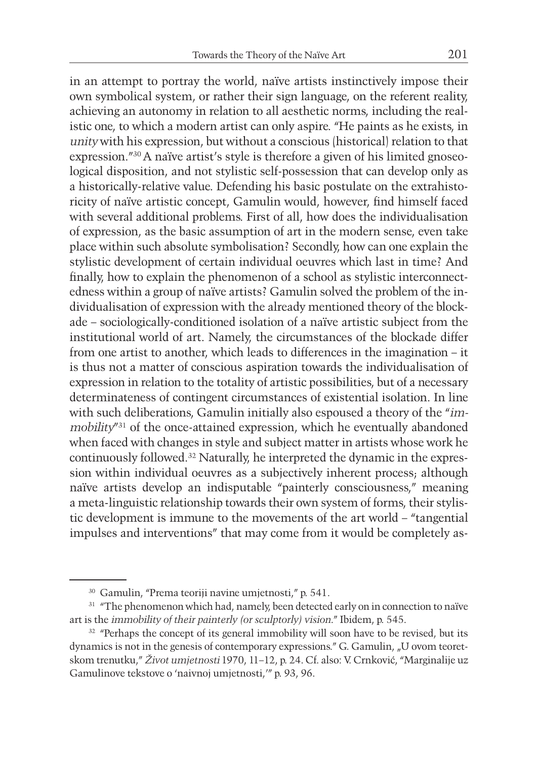in an attempt to portray the world, naïve artists instinctively impose their own symbolical system, or rather their sign language, on the referent reality, achieving an autonomy in relation to all aesthetic norms, including the realistic one, to which a modern artist can only aspire. "He paints as he exists, in *unity* with his expression, but without a conscious (historical) relation to that expression."30 A naïve artist's style is therefore a given of his limited gnoseological disposition, and not stylistic self-possession that can develop only as a historically-relative value. Defending his basic postulate on the extrahistoricity of naïve artistic concept, Gamulin would, however, find himself faced with several additional problems. First of all, how does the individualisation of expression, as the basic assumption of art in the modern sense, even take place within such absolute symbolisation? Secondly, how can one explain the stylistic development of certain individual oeuvres which last in time? And finally, how to explain the phenomenon of a school as stylistic interconnectedness within a group of naïve artists? Gamulin solved the problem of the individualisation of expression with the already mentioned theory of the blockade – sociologically-conditioned isolation of a naïve artistic subject from the institutional world of art. Namely, the circumstances of the blockade differ from one artist to another, which leads to differences in the imagination – it is thus not a matter of conscious aspiration towards the individualisation of expression in relation to the totality of artistic possibilities, but of a necessary determinateness of contingent circumstances of existential isolation. In line with such deliberations, Gamulin initially also espoused a theory of the "*immobility*"31 of the once-attained expression, which he eventually abandoned when faced with changes in style and subject matter in artists whose work he continuously followed.32 Naturally, he interpreted the dynamic in the expression within individual oeuvres as a subjectively inherent process; although naïve artists develop an indisputable "painterly consciousness," meaning a meta-linguistic relationship towards their own system of forms, their stylistic development is immune to the movements of the art world – "tangential impulses and interventions" that may come from it would be completely as-

<sup>30</sup> Gamulin, "Prema teoriji navine umjetnosti," p. 541.

<sup>&</sup>lt;sup>31</sup> "The phenomenon which had, namely, been detected early on in connection to naïve art is the *immobility of their painterly (or sculptorly) vision*." Ibidem, p. 545.

<sup>&</sup>lt;sup>32</sup> "Perhaps the concept of its general immobility will soon have to be revised, but its dynamics is not in the genesis of contemporary expressions." G. Gamulin, "U ovom teoretskom trenutku," *Život umjetnosti* 1970, 11–12, p. 24. Cf. also: V. Crnković, "Marginalije uz Gamulinove tekstove o 'naivnoj umjetnosti,'" p. 93, 96.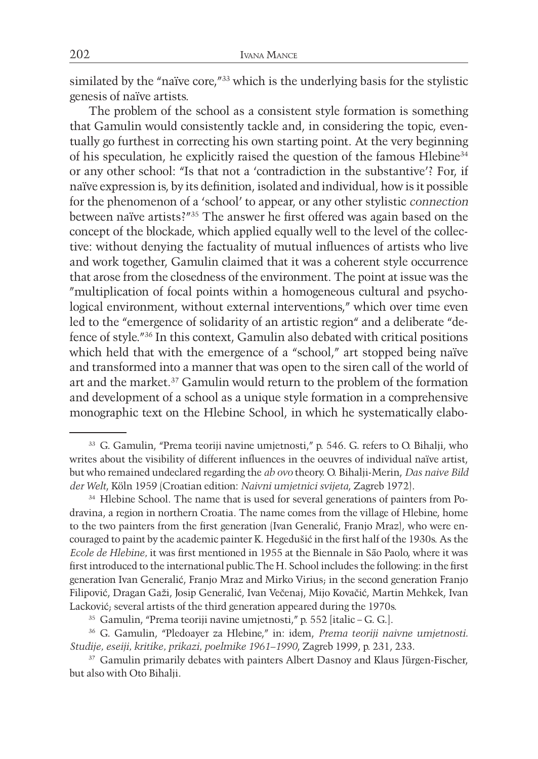similated by the "naïve core,"33 which is the underlying basis for the stylistic genesis of naïve artists.

The problem of the school as a consistent style formation is something that Gamulin would consistently tackle and, in considering the topic, eventually go furthest in correcting his own starting point. At the very beginning of his speculation, he explicitly raised the question of the famous Hlebine34 or any other school: "Is that not a 'contradiction in the substantive'? For, if naïve expression is, by its definition, isolated and individual, how is it possible for the phenomenon of a 'school' to appear, or any other stylistic *connection* between naïve artists?"35 The answer he first offered was again based on the concept of the blockade, which applied equally well to the level of the collective: without denying the factuality of mutual influences of artists who live and work together, Gamulin claimed that it was a coherent style occurrence that arose from the closedness of the environment. The point at issue was the "multiplication of focal points within a homogeneous cultural and psychological environment, without external interventions," which over time even led to the "emergence of solidarity of an artistic region" and a deliberate "defence of style."36 In this context, Gamulin also debated with critical positions which held that with the emergence of a "school," art stopped being naïve and transformed into a manner that was open to the siren call of the world of art and the market.37 Gamulin would return to the problem of the formation and development of a school as a unique style formation in a comprehensive monographic text on the Hlebine School, in which he systematically elabo-

<sup>33</sup> G. Gamulin, "Prema teoriji navine umjetnosti," p. 546. G. refers to O. Bihalji, who writes about the visibility of different influences in the oeuvres of individual naïve artist, but who remained undeclared regarding the *ab ovo* theory. O. Bihalji-Merin, *Das naive Bild der Welt*, Köln 1959 (Croatian edition: *Naivni umjetnici svijeta*, Zagreb 1972).

<sup>&</sup>lt;sup>34</sup> Hlebine School. The name that is used for several generations of painters from Podravina, a region in northern Croatia. The name comes from the village of Hlebine, home to the two painters from the first generation (Ivan Generalić, Franjo Mraz), who were encouraged to paint by the academic painter K. Hegedušić in the first half of the 1930s. As the *Ecole de Hlebine,* it was first mentioned in 1955 at the Biennale in São Paolo, where it was first introduced to the international public.The H. School includes the following: in the first generation Ivan Generalić, Franjo Mraz and Mirko Virius; in the second generation Franjo Filipović, Dragan Gaži, Josip Generalić, Ivan Večenaj, Mijo Kovačić, Martin Mehkek, Ivan Lacković; several artists of the third generation appeared during the 1970s.

<sup>35</sup> Gamulin, "Prema teoriji navine umjetnosti," p. 552 [italic – G. G.].

<sup>36</sup> G. Gamulin, "Pledoayer za Hlebine," in: idem, *Prema teoriji naivne umjetnosti. Studije, eseiji, kritike, prikazi, poelmike 1961–1990*, Zagreb 1999, p. 231, 233.

<sup>&</sup>lt;sup>37</sup> Gamulin primarily debates with painters Albert Dasnoy and Klaus Jürgen-Fischer, but also with Oto Bihalji.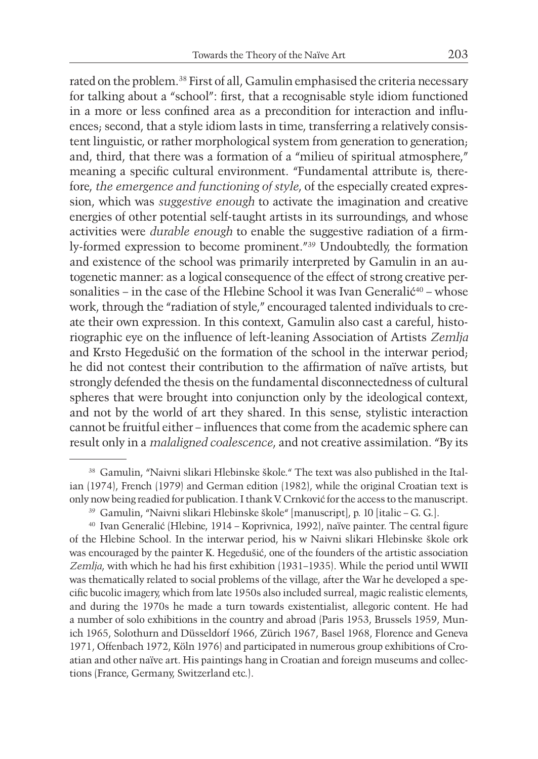rated on the problem.38 First of all, Gamulin emphasised the criteria necessary for talking about a "school": first, that a recognisable style idiom functioned in a more or less confined area as a precondition for interaction and influences; second, that a style idiom lasts in time, transferring a relatively consistent linguistic, or rather morphological system from generation to generation; and, third, that there was a formation of a "milieu of spiritual atmosphere," meaning a specific cultural environment. "Fundamental attribute is, therefore, *the emergence and functioning of style*, of the especially created expression, which was *suggestive enough* to activate the imagination and creative energies of other potential self-taught artists in its surroundings, and whose activities were *durable enough* to enable the suggestive radiation of a firmly-formed expression to become prominent."39 Undoubtedly, the formation and existence of the school was primarily interpreted by Gamulin in an autogenetic manner: as a logical consequence of the effect of strong creative personalities – in the case of the Hlebine School it was Ivan Generalić<sup>40</sup> – whose work, through the "radiation of style," encouraged talented individuals to create their own expression. In this context, Gamulin also cast a careful, historiographic eye on the influence of left-leaning Association of Artists *Zemlja* and Krsto Hegedušić on the formation of the school in the interwar period; he did not contest their contribution to the affirmation of naïve artists, but strongly defended the thesis on the fundamental disconnectedness of cultural spheres that were brought into conjunction only by the ideological context, and not by the world of art they shared. In this sense, stylistic interaction cannot be fruitful either – influences that come from the academic sphere can result only in a *malaligned coalescence*, and not creative assimilation. "By its

<sup>38</sup> Gamulin, "Naivni slikari Hlebinske škole." The text was also published in the Italian (1974), French (1979) and German edition (1982), while the original Croatian text is only now being readied for publication. I thank V. Crnković for the access to the manuscript.

<sup>39</sup> Gamulin, "Naivni slikari Hlebinske škole" [manuscript], p. 10 [italic – G. G.].

<sup>40</sup> Ivan Generalić (Hlebine, 1914 – Koprivnica, 1992), naïve painter. The central figure of the Hlebine School. In the interwar period, his w Naivni slikari Hlebinske škole ork was encouraged by the painter K. Hegedušić, one of the founders of the artistic association *Zemlja*, with which he had his first exhibition (1931–1935). While the period until WWII was thematically related to social problems of the village, after the War he developed a specific bucolic imagery, which from late 1950s also included surreal, magic realistic elements, and during the 1970s he made a turn towards existentialist, allegoric content. He had a number of solo exhibitions in the country and abroad (Paris 1953, Brussels 1959, Munich 1965, Solothurn and Düsseldorf 1966, Zürich 1967, Basel 1968, Florence and Geneva 1971, Offenbach 1972, Köln 1976) and participated in numerous group exhibitions of Croatian and other naïve art. His paintings hang in Croatian and foreign museums and collections (France, Germany, Switzerland etc.).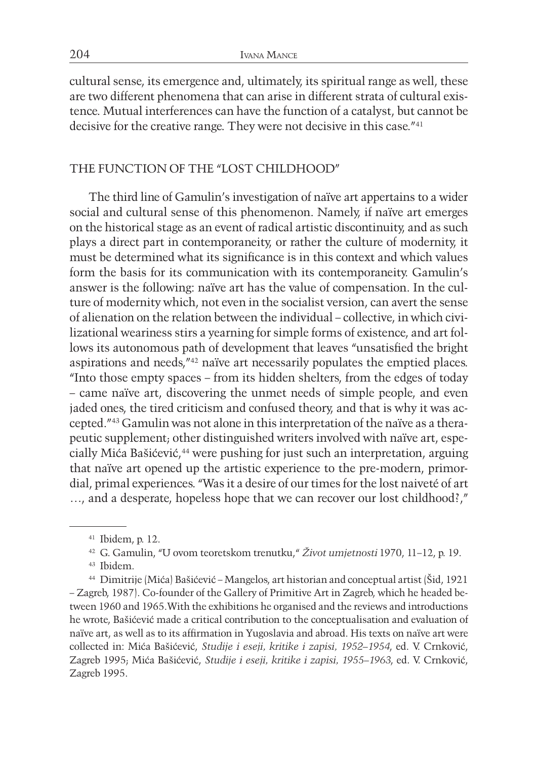cultural sense, its emergence and, ultimately, its spiritual range as well, these are two different phenomena that can arise in different strata of cultural existence. Mutual interferences can have the function of a catalyst, but cannot be decisive for the creative range. They were not decisive in this case."41

#### THE FUNCTION OF THE "LOST CHILDHOOD"

The third line of Gamulin's investigation of naïve art appertains to a wider social and cultural sense of this phenomenon. Namely, if naïve art emerges on the historical stage as an event of radical artistic discontinuity, and as such plays a direct part in contemporaneity, or rather the culture of modernity, it must be determined what its significance is in this context and which values form the basis for its communication with its contemporaneity. Gamulin's answer is the following: naïve art has the value of compensation. In the culture of modernity which, not even in the socialist version, can avert the sense of alienation on the relation between the individual – collective, in which civilizational weariness stirs a yearning for simple forms of existence, and art follows its autonomous path of development that leaves "unsatisfied the bright aspirations and needs,"42 naïve art necessarily populates the emptied places. "Into those empty spaces – from its hidden shelters, from the edges of today – came naïve art, discovering the unmet needs of simple people, and even jaded ones, the tired criticism and confused theory, and that is why it was accepted."43 Gamulin was not alone in this interpretation of the naïve as a therapeutic supplement; other distinguished writers involved with naïve art, especially Mića Bašićević,<sup>44</sup> were pushing for just such an interpretation, arguing that naïve art opened up the artistic experience to the pre-modern, primordial, primal experiences. "Was it a desire of our times for the lost naiveté of art …, and a desperate, hopeless hope that we can recover our lost childhood?,"

<sup>41</sup> Ibidem, p. 12.

<sup>42</sup> G. Gamulin, "U ovom teoretskom trenutku," *Život umjetnosti* 1970, 11–12, p. 19. <sup>43</sup> Ibidem.

<sup>44</sup> Dimitrije (Mića) Bašićević – Mangelos, art historian and conceptual artist (Šid, 1921 – Zagreb, 1987). Co-founder of the Gallery of Primitive Art in Zagreb, which he headed between 1960 and 1965.With the exhibitions he organised and the reviews and introductions he wrote, Bašićević made a critical contribution to the conceptualisation and evaluation of naïve art, as well as to its affirmation in Yugoslavia and abroad. His texts on naïve art were collected in: Mića Bašićević, *Studije i eseji, kritike i zapisi, 1952–1954*, ed. V. Crnković, Zagreb 1995; Mića Bašićević, *Studije i eseji, kritike i zapisi, 1955–1963*, ed. V. Crnković, Zagreb 1995.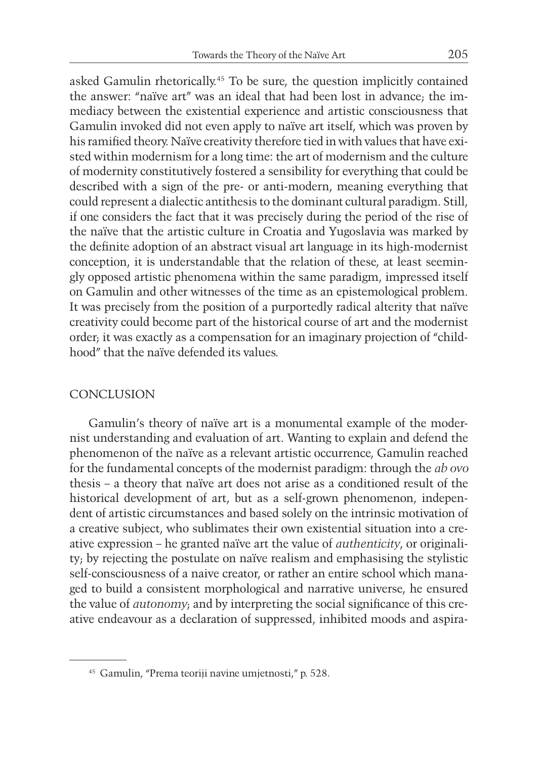asked Gamulin rhetorically.45 To be sure, the question implicitly contained the answer: "naïve art" was an ideal that had been lost in advance; the immediacy between the existential experience and artistic consciousness that Gamulin invoked did not even apply to naïve art itself, which was proven by his ramified theory. Naïve creativity therefore tied in with values that have existed within modernism for a long time: the art of modernism and the culture of modernity constitutively fostered a sensibility for everything that could be described with a sign of the pre- or anti-modern, meaning everything that could represent a dialectic antithesis to the dominant cultural paradigm. Still, if one considers the fact that it was precisely during the period of the rise of the naïve that the artistic culture in Croatia and Yugoslavia was marked by the definite adoption of an abstract visual art language in its high-modernist conception, it is understandable that the relation of these, at least seemingly opposed artistic phenomena within the same paradigm, impressed itself on Gamulin and other witnesses of the time as an epistemological problem. It was precisely from the position of a purportedly radical alterity that naïve creativity could become part of the historical course of art and the modernist order; it was exactly as a compensation for an imaginary projection of "childhood" that the naïve defended its values.

#### CONCLUSION

Gamulin's theory of naïve art is a monumental example of the modernist understanding and evaluation of art. Wanting to explain and defend the phenomenon of the naïve as a relevant artistic occurrence, Gamulin reached for the fundamental concepts of the modernist paradigm: through the *ab ovo*  thesis – a theory that naïve art does not arise as a conditioned result of the historical development of art, but as a self-grown phenomenon, independent of artistic circumstances and based solely on the intrinsic motivation of a creative subject, who sublimates their own existential situation into a creative expression – he granted naïve art the value of *authenticity*, or originality; by rejecting the postulate on naïve realism and emphasising the stylistic self-consciousness of a naive creator, or rather an entire school which managed to build a consistent morphological and narrative universe, he ensured the value of *autonomy*; and by interpreting the social significance of this creative endeavour as a declaration of suppressed, inhibited moods and aspira-

<sup>45</sup> Gamulin, "Prema teoriji navine umjetnosti," p. 528.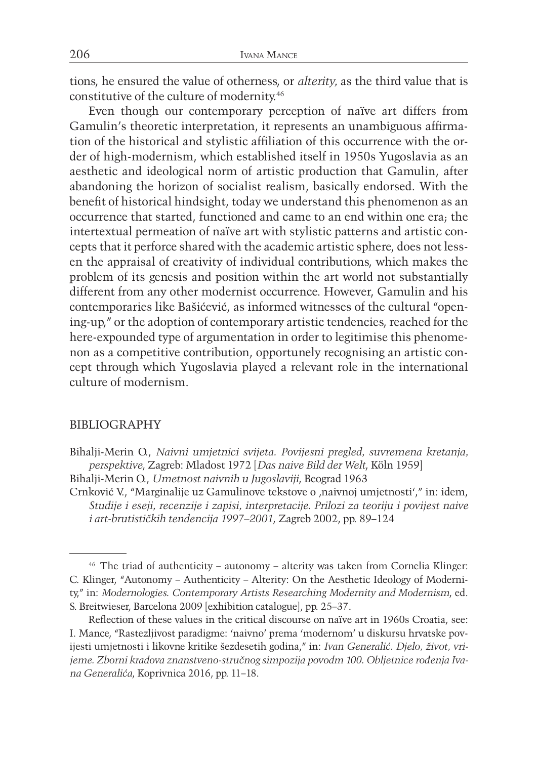tions, he ensured the value of otherness, or *alterity,* as the third value that is constitutive of the culture of modernity.46

Even though our contemporary perception of naïve art differs from Gamulin's theoretic interpretation, it represents an unambiguous affirmation of the historical and stylistic affiliation of this occurrence with the order of high-modernism, which established itself in 1950s Yugoslavia as an aesthetic and ideological norm of artistic production that Gamulin, after abandoning the horizon of socialist realism, basically endorsed. With the benefit of historical hindsight, today we understand this phenomenon as an occurrence that started, functioned and came to an end within one era; the intertextual permeation of naïve art with stylistic patterns and artistic concepts that it perforce shared with the academic artistic sphere, does not lessen the appraisal of creativity of individual contributions, which makes the problem of its genesis and position within the art world not substantially different from any other modernist occurrence. However, Gamulin and his contemporaries like Bašićević, as informed witnesses of the cultural "opening-up," or the adoption of contemporary artistic tendencies, reached for the here-expounded type of argumentation in order to legitimise this phenomenon as a competitive contribution, opportunely recognising an artistic concept through which Yugoslavia played a relevant role in the international culture of modernism.

#### BIBLIOGRAPHY

- Bihalji-Merin O., *Naivni umjetnici svijeta. Povijesni pregled, suvremena kretanja, perspektive*, Zagreb: Mladost 1972 [*Das naive Bild der Welt*, Köln 1959]
- Bihalji-Merin O., *Umetnost naivnih u Jugoslaviji*, Beograd 1963
- Crnković V., "Marginalije uz Gamulinove tekstove o ,naivnoj umjetnosti'," in: idem, *Studije i eseji, recenzije i zapisi, interpretacije. Prilozi za teoriju i povijest naive i art-brutističkih tendencija 1997–2001*, Zagreb 2002, pp. 89–124

<sup>46</sup> The triad of authenticity – autonomy – alterity was taken from Cornelia Klinger: C. Klinger, "Autonomy – Authenticity – Alterity: On the Aesthetic Ideology of Modernity," in: *Modernologies. Contemporary Artists Researching Modernity and Modernism*, ed. S. Breitwieser, Barcelona 2009 [exhibition catalogue], pp. 25–37.

Reflection of these values in the critical discourse on naïve art in 1960s Croatia, see: I. Mance, "Rastezljivost paradigme: 'naivno' prema 'modernom' u diskursu hrvatske povijesti umjetnosti i likovne kritike šezdesetih godina," in: *Ivan Generalić. Djelo, život, vrijeme. Zborni kradova znanstveno-stručnog simpozija povodm 100. Obljetnice rođenja Ivana Generalića*, Koprivnica 2016, pp. 11–18.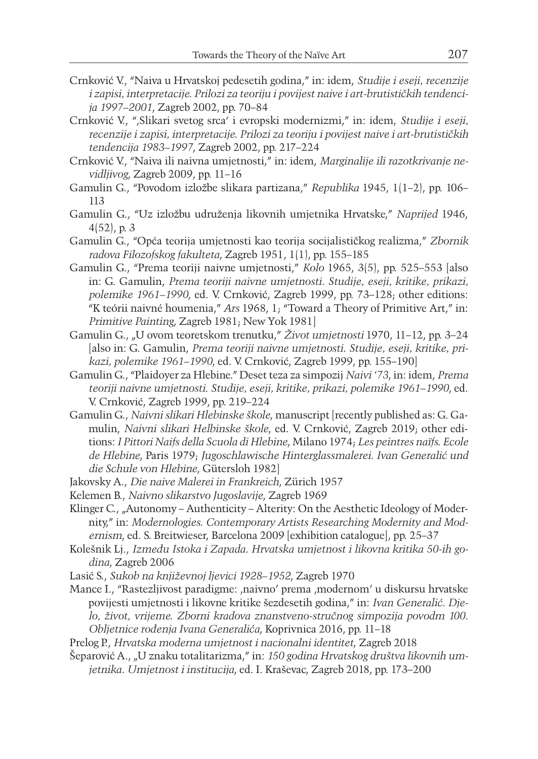- Crnković V., "Naiva u Hrvatskoj pedesetih godina," in: idem, *Studije i eseji, recenzije i zapisi, interpretacije. Prilozi za teoriju i povijest naive i art-brutističkih tendencija 1997–2001*, Zagreb 2002, pp. 70–84
- Crnković V., "'Slikari svetog srca' i evropski modernizmi," in: idem, *Studije i eseji, recenzije i zapisi, interpretacije. Prilozi za teoriju i povijest naive i art-brutističkih tendencija 1983–1997*, Zagreb 2002, pp. 217–224
- Crnković V., "Naiva ili naivna umjetnosti," in: idem, *Marginalije ili razotkrivanje nevidljivog*, Zagreb 2009, pp. 11–16
- Gamulin G., "Povodom izložbe slikara partizana," *Republika* 1945, 1(1–2), pp. 106– 113
- Gamulin G., "Uz izložbu udruženja likovnih umjetnika Hrvatske," *Naprijed* 1946, 4(52), p. 3
- Gamulin G., "Opća teorija umjetnosti kao teorija socijalističkog realizma," *Zbornik radova Filozofskog fakulteta*, Zagreb 1951, 1(1), pp. 155–185
- Gamulin G., "Prema teoriji naivne umjetnosti," *Kolo* 1965, 3(5), pp. 525–553 [also in: G. Gamulin, *Prema teoriji naivne umjetnosti. Studije, eseji, kritike, prikazi, polemike 1961–1990*, ed. V. Crnković, Zagreb 1999, pp. 73–128; other editions: "K teórii naivné houmenia," *Ars* 1968, 1; "Toward a Theory of Primitive Art," in: *Primitive Painting*, Zagreb 1981; New Yok 1981]
- Gamulin G., "U ovom teoretskom trenutku," *Život umjetnosti* 1970, 11–12, pp. 3–24 [also in: G. Gamulin, *Prema teoriji naivne umjetnosti. Studije, eseji, kritike, prikazi, polemike 1961–1990*, ed. V. Crnković, Zagreb 1999, pp. 155–190]
- Gamulin G., "Plaidoyer za Hlebine." Deset teza za simpozij *Naivi '73*, in: idem, *Prema teoriji naivne umjetnosti*. *Studije, eseji, kritike, prikazi, polemike 1961–1990*, ed. V. Crnković, Zagreb 1999, pp. 219–224
- Gamulin G., *Naivni slikari Hlebinske škole*, manuscript [recently published as: G. Gamulin, *Naivni slikari Helbinske škole*, ed. V. Crnković, Zagreb 2019; other editions: *I Pittori Naifs della Scuola di Hlebine*, Milano 1974; *Les peintres naïfs. Ecole de Hlebine*, Paris 1979; *Jugoschlawische Hinterglassmalerei. Ivan Generalić und die Schule von Hlebine*, Gütersloh 1982]
- Jakovsky A., *Die naive Malerei in Frankreich*, Zürich 1957
- Kelemen B., *Naivno slikarstvo Jugoslavije*, Zagreb 1969
- Klinger C., "Autonomy Authenticity Alterity: On the Aesthetic Ideology of Modernity," in: *Modernologies. Contemporary Artists Researching Modernity and Modernism*, ed. S. Breitwieser, Barcelona 2009 [exhibition catalogue], pp. 25–37
- Kolešnik Lj., *Između Istoka i Zapada. Hrvatska umjetnost i likovna kritika 50-ih godina*, Zagreb 2006
- Lasić S., *Sukob na književnoj ljevici 1928–1952*, Zagreb 1970
- Mance I., "Rastezljivost paradigme: ,naivno' prema ,modernom' u diskursu hrvatske povijesti umjetnosti i likovne kritike šezdesetih godina," in: *Ivan Generalić. Djelo, život, vrijeme. Zborni kradova znanstveno-stručnog simpozija povodm 100. Obljetnice rođenja Ivana Generalića*, Koprivnica 2016, pp. 11–18
- Prelog P., *Hrvatska moderna umjetnost i nacionalni identitet*, Zagreb 2018
- Šeparović A., "U znaku totalitarizma," in: *150 godina Hrvatskog društva likovnih umjetnika. Umjetnost i institucija*, ed. I. Kraševac, Zagreb 2018, pp. 173–200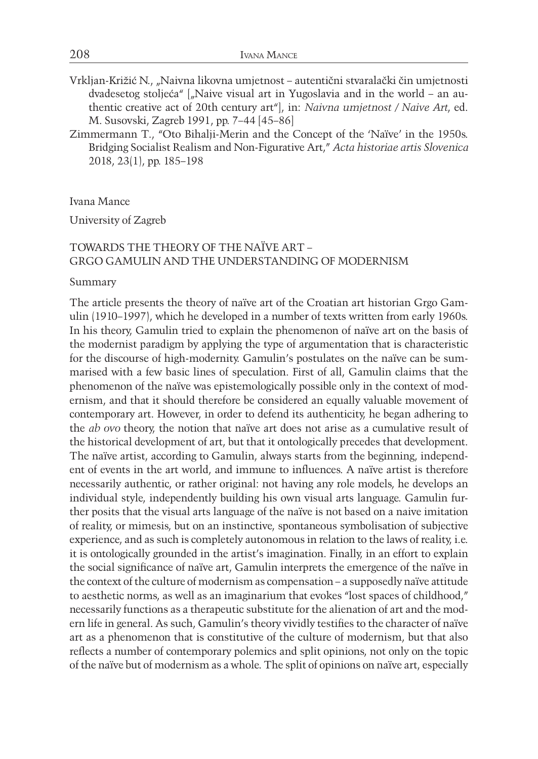- Vrkljan-Križić N., "Naivna likovna umjetnost autentični stvaralački čin umjetnosti dvadesetog stoljeća"  $\int_{u}$ Naive visual art in Yugoslavia and in the world – an authentic creative act of 20th century art"], in: *Naivna umjetnost / Naive Art*, ed. M. Susovski, Zagreb 1991, pp. 7–44 [45–86]
- Zimmermann T., "Oto Bihalji-Merin and the Concept of the 'Naïve' in the 1950s. Bridging Socialist Realism and Non-Figurative Art," *Acta historiae artis Slovenica* 2018, 23(1), pp. 185–198

Ivana Mance

University of Zagreb

#### TOWARDS THE THEORY OF THE NAÏVE ART – GRGO GAMULIN AND THE UNDERSTANDING OF MODERNISM

Summary

The article presents the theory of naïve art of the Croatian art historian Grgo Gamulin (1910–1997), which he developed in a number of texts written from early 1960s. In his theory, Gamulin tried to explain the phenomenon of naïve art on the basis of the modernist paradigm by applying the type of argumentation that is characteristic for the discourse of high-modernity. Gamulin's postulates on the naïve can be summarised with a few basic lines of speculation. First of all, Gamulin claims that the phenomenon of the naïve was epistemologically possible only in the context of modernism, and that it should therefore be considered an equally valuable movement of contemporary art. However, in order to defend its authenticity, he began adhering to the *ab ovo* theory, the notion that naïve art does not arise as a cumulative result of the historical development of art, but that it ontologically precedes that development. The naïve artist, according to Gamulin, always starts from the beginning, independent of events in the art world, and immune to influences. A naïve artist is therefore necessarily authentic, or rather original: not having any role models, he develops an individual style, independently building his own visual arts language. Gamulin further posits that the visual arts language of the naïve is not based on a naive imitation of reality, or mimesis, but on an instinctive, spontaneous symbolisation of subjective experience, and as such is completely autonomous in relation to the laws of reality, i.e. it is ontologically grounded in the artist's imagination. Finally, in an effort to explain the social significance of naïve art, Gamulin interprets the emergence of the naïve in the context of the culture of modernism as compensation – a supposedly naïve attitude to aesthetic norms, as well as an imaginarium that evokes "lost spaces of childhood," necessarily functions as a therapeutic substitute for the alienation of art and the modern life in general. As such, Gamulin's theory vividly testifies to the character of naïve art as a phenomenon that is constitutive of the culture of modernism, but that also reflects a number of contemporary polemics and split opinions, not only on the topic of the naïve but of modernism as a whole. The split of opinions on naïve art, especially